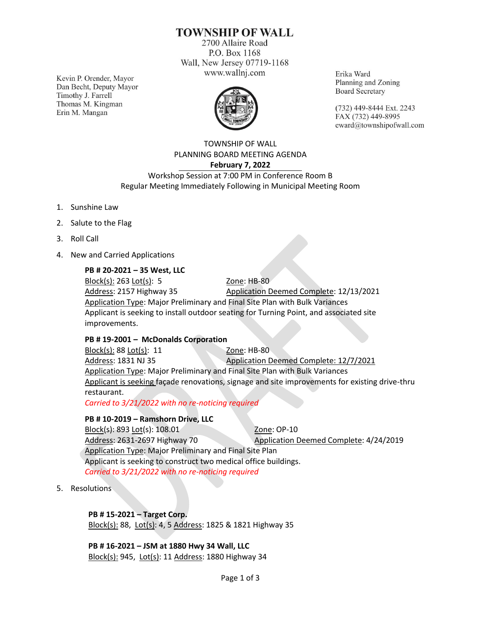# **TOWNSHIP OF WALL**

2700 Allaire Road P.O. Box 1168 Wall, New Jersey 07719-1168 www.wallnj.com

Kevin P. Orender, Mayor Dan Becht, Deputy Mayor Timothy J. Farrell Thomas M. Kingman Erin M. Mangan



Erika Ward Planning and Zoning **Board Secretary** 

(732) 449-8444 Ext. 2243 FAX (732) 449-8995 eward@townshipofwall.com

TOWNSHIP OF WALL PLANNING BOARD MEETING AGENDA **February 7, 2022**

Workshop Session at 7:00 PM in Conference Room B Regular Meeting Immediately Following in Municipal Meeting Room

- 1. Sunshine Law
- 2. Salute to the Flag
- 3. Roll Call
- 4. New and Carried Applications

#### **PB # 20-2021 – 35 West, LLC**

Block(s): 263 Lot(s): 5 Zone: HB-80 Address: 2157 Highway 35 Application Deemed Complete: 12/13/2021 Application Type: Major Preliminary and Final Site Plan with Bulk Variances Applicant is seeking to install outdoor seating for Turning Point, and associated site improvements.

#### **PB # 19-2001 – McDonalds Corporation**

Block(s): 88 Lot(s): 11 Zone: HB-80 Address: 1831 NJ 35 Application Deemed Complete: 12/7/2021 Application Type: Major Preliminary and Final Site Plan with Bulk Variances Applicant is seeking façade renovations, signage and site improvements for existing drive-thru restaurant.

*Carried to 3/21/2022 with no re-noticing required*

#### **PB # 10-2019 – Ramshorn Drive, LLC**

Block(s): 893 Lot(s): 108.01 Zone: OP-10 Address: 2631-2697 Highway 70 Application Deemed Complete: 4/24/2019 Application Type: Major Preliminary and Final Site Plan Applicant is seeking to construct two medical office buildings. *Carried to 3/21/2022 with no re-noticing required*

5. Resolutions

### **PB # 15-2021 – Target Corp.**

Block(s): 88, Lot(s): 4, 5 Address: 1825 & 1821 Highway 35

**PB # 16-2021 – JSM at 1880 Hwy 34 Wall, LLC**  Block(s): 945, Lot(s): 11 Address: 1880 Highway 34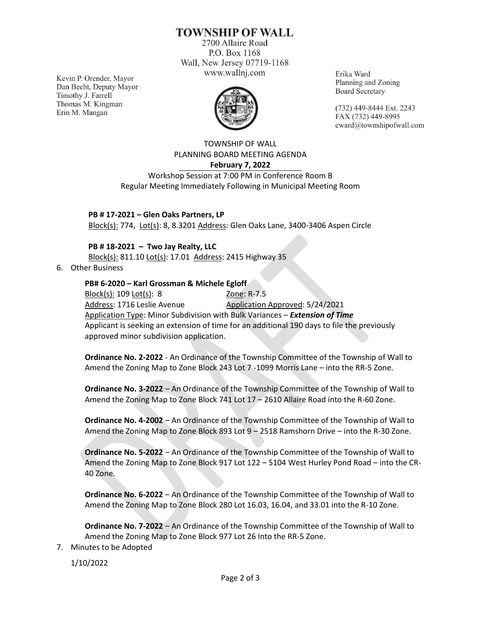# **TOWNSHIP OF WALL**

2700 Allaire Road P.O. Box 1168 Wall, New Jersey 07719-1168 www.wallnj.com

Kevin P. Orender, Mayor Dan Becht, Deputy Mayor Timothy J. Farrell Thomas M. Kingman Erin M. Mangan



Erika Ward Planning and Zoning **Board Secretary** 

(732) 449-8444 Ext. 2243 FAX (732) 449-8995 eward@townshipofwall.com

TOWNSHIP OF WALL PLANNING BOARD MEETING AGENDA **February 7, 2022**

Workshop Session at 7:00 PM in Conference Room B Regular Meeting Immediately Following in Municipal Meeting Room

**PB # 17-2021 – Glen Oaks Partners, LP** Block(s): 774, Lot(s): 8, 8.3201 Address: Glen Oaks Lane, 3400-3406 Aspen Circle

**PB # 18-2021 – Two Jay Realty, LLC**

Block(s): 811.10 Lot(s): 17.01 Address: 2415 Highway 35

6. Other Business

## **PB# 6-2020 – Karl Grossman & Michele Egloff**

Block(s): 109 Lot(s): 8 20ne: R-7.5 Address: 1716 Leslie Avenue Application Approved: 5/24/2021 Application Type: Minor Subdivision with Bulk Variances – *Extension of Time* Applicant is seeking an extension of time for an additional 190 days to file the previously approved minor subdivision application.

**Ordinance No. 2-2022** - An Ordinance of the Township Committee of the Township of Wall to Amend the Zoning Map to Zone Block 243 Lot 7 -1099 Morris Lane – into the RR-5 Zone.

**Ordinance No. 3-2022** – An Ordinance of the Township Committee of the Township of Wall to Amend the Zoning Map to Zone Block 741 Lot 17 – 2610 Allaire Road into the R-60 Zone.

**Ordinance No. 4-2002** – An Ordinance of the Township Committee of the Township of Wall to Amend the Zoning Map to Zone Block 893 Lot 9 – 2518 Ramshorn Drive – into the R-30 Zone.

**Ordinance No. 5-2022** – An Ordinance of the Township Committee of the Township of Wall to Amend the Zoning Map to Zone Block 917 Lot 122 – 5104 West Hurley Pond Road – into the CR-40 Zone.

**Ordinance No. 6-2022** – An Ordinance of the Township Committee of the Township of Wall to Amend the Zoning Map to Zone Block 280 Lot 16.03, 16.04, and 33.01 into the R-10 Zone.

**Ordinance No. 7-2022** – An Ordinance of the Township Committee of the Township of Wall to Amend the Zoning Map to Zone Block 977 Lot 26 Into the RR-5 Zone.

7. Minutes to be Adopted

1/10/2022